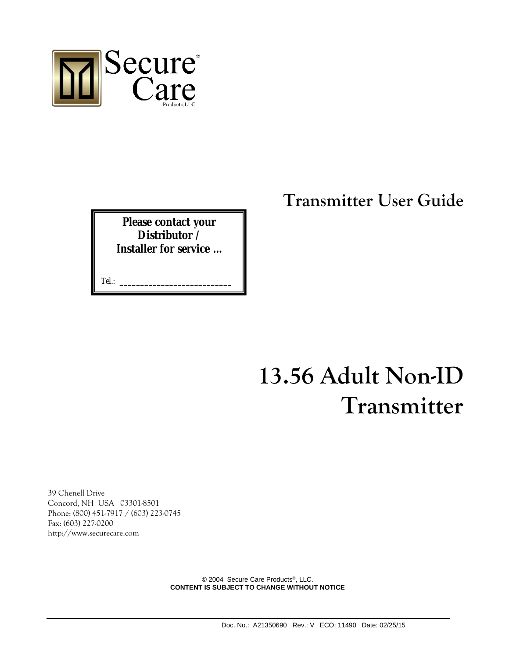

**Please contact your Distributor / Installer for service …** 

Tel.: **\_\_\_\_\_\_\_\_\_\_\_\_\_\_\_\_\_\_\_\_\_\_\_\_\_\_\_**

## **Transmitter User Guide**

## **13.56 Adult Non-ID Transmitter**

39 Chenell Drive Concord, NH USA 03301-8501 Phone: (800) 451-7917 / (603) 223-0745 Fax: (603) 227-0200 http://www.securecare.com

> © 2004 Secure Care Products®, LLC. **CONTENT IS SUBJECT TO CHANGE WITHOUT NOTICE**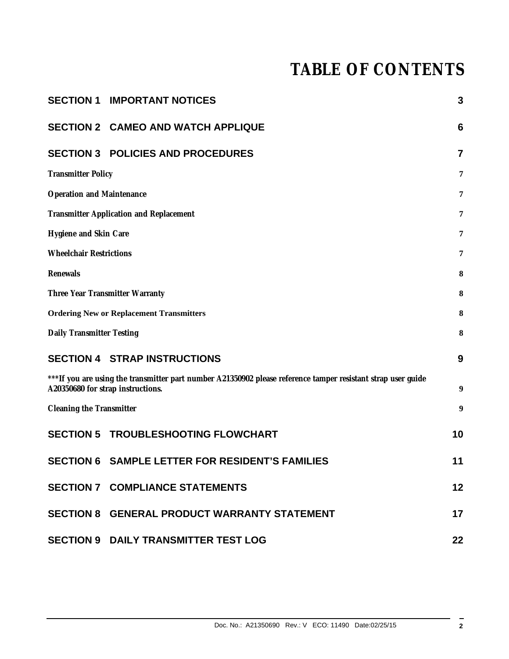## **TABLE OF CONTENTS**

|                                                                                                                                                    | <b>SECTION 1 IMPORTANT NOTICES</b>                     | 3              |  |  |
|----------------------------------------------------------------------------------------------------------------------------------------------------|--------------------------------------------------------|----------------|--|--|
|                                                                                                                                                    | <b>SECTION 2 CAMEO AND WATCH APPLIQUE</b>              | 6              |  |  |
|                                                                                                                                                    | <b>SECTION 3 POLICIES AND PROCEDURES</b>               | $\overline{7}$ |  |  |
| <b>Transmitter Policy</b>                                                                                                                          |                                                        | 7              |  |  |
| <b>Operation and Maintenance</b>                                                                                                                   |                                                        | 7              |  |  |
| <b>Transmitter Application and Replacement</b>                                                                                                     |                                                        |                |  |  |
| Hygiene and Skin Care                                                                                                                              |                                                        |                |  |  |
| <b>Wheelchair Restrictions</b>                                                                                                                     |                                                        |                |  |  |
| Renewals                                                                                                                                           |                                                        |                |  |  |
| Three Year Transmitter Warranty                                                                                                                    |                                                        |                |  |  |
|                                                                                                                                                    | <b>Ordering New or Replacement Transmitters</b>        | 8              |  |  |
| Daily Transmitter Testing                                                                                                                          |                                                        | 8              |  |  |
|                                                                                                                                                    | <b>SECTION 4 STRAP INSTRUCTIONS</b>                    | 9              |  |  |
| *** If you are using the transmitter part number A21350902 please reference tamper resistant strap user guide<br>A20350680 for strap instructions. |                                                        |                |  |  |
| Cleaning the Transmitter                                                                                                                           |                                                        | 9              |  |  |
|                                                                                                                                                    | <b>SECTION 5 TROUBLESHOOTING FLOWCHART</b>             | 10             |  |  |
|                                                                                                                                                    | <b>SECTION 6 SAMPLE LETTER FOR RESIDENT'S FAMILIES</b> | 11             |  |  |
|                                                                                                                                                    | <b>SECTION 7 COMPLIANCE STATEMENTS</b>                 | 12             |  |  |
|                                                                                                                                                    | <b>SECTION 8 GENERAL PRODUCT WARRANTY STATEMENT</b>    | 17             |  |  |
|                                                                                                                                                    | <b>SECTION 9 DAILY TRANSMITTER TEST LOG</b>            | 22             |  |  |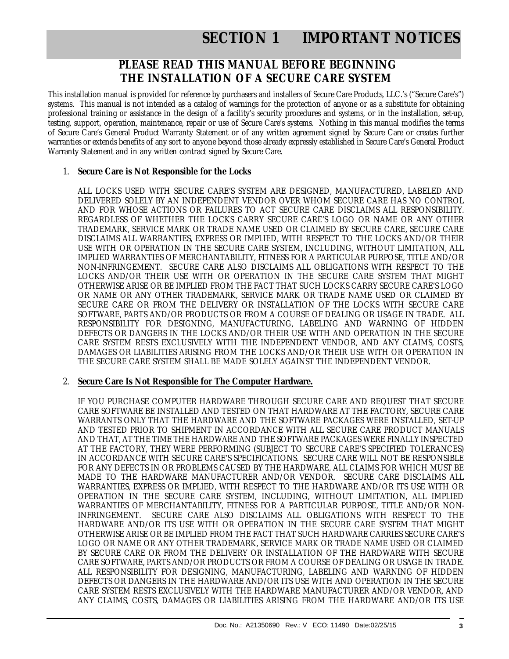## **SECTION 1 IMPORTANT NOTICES**

## **PLEASE READ THIS MANUAL BEFORE BEGINNING THE INSTALLATION OF A SECURE CARE SYSTEM**

This installation manual is provided for reference by purchasers and installers of Secure Care Products, LLC.'s ("Secure Care's") systems. This manual is not intended as a catalog of warnings for the protection of anyone or as a substitute for obtaining professional training or assistance in the design of a facility's security procedures and systems, or in the installation, set-up, testing, support, operation, maintenance, repair or use of Secure Care's systems. Nothing in this manual modifies the terms of Secure Care's General Product Warranty Statement or of any written agreement signed by Secure Care or creates further warranties or extends benefits of any sort to anyone beyond those already expressly established in Secure Care's General Product Warranty Statement and in any written contract signed by Secure Care.

## 1. **Secure Care is Not Responsible for the Locks**

ALL LOCKS USED WITH SECURE CARE'S SYSTEM ARE DESIGNED, MANUFACTURED, LABELED AND DELIVERED SOLELY BY AN INDEPENDENT VENDOR OVER WHOM SECURE CARE HAS NO CONTROL AND FOR WHOSE ACTIONS OR FAILURES TO ACT SECURE CARE DISCLAIMS ALL RESPONSIBILITY. REGARDLESS OF WHETHER THE LOCKS CARRY SECURE CARE'S LOGO OR NAME OR ANY OTHER TRADEMARK, SERVICE MARK OR TRADE NAME USED OR CLAIMED BY SECURE CARE, SECURE CARE DISCLAIMS ALL WARRANTIES, EXPRESS OR IMPLIED, WITH RESPECT TO THE LOCKS AND/OR THEIR USE WITH OR OPERATION IN THE SECURE CARE SYSTEM, INCLUDING, WITHOUT LIMITATION, ALL IMPLIED WARRANTIES OF MERCHANTABILITY, FITNESS FOR A PARTICULAR PURPOSE, TITLE AND/OR NON-INFRINGEMENT. SECURE CARE ALSO DISCLAIMS ALL OBLIGATIONS WITH RESPECT TO THE LOCKS AND/OR THEIR USE WITH OR OPERATION IN THE SECURE CARE SYSTEM THAT MIGHT OTHERWISE ARISE OR BE IMPLIED FROM THE FACT THAT SUCH LOCKS CARRY SECURE CARE'S LOGO OR NAME OR ANY OTHER TRADEMARK, SERVICE MARK OR TRADE NAME USED OR CLAIMED BY SECURE CARE OR FROM THE DELIVERY OR INSTALLATION OF THE LOCKS WITH SECURE CARE SOFTWARE, PARTS AND/OR PRODUCTS OR FROM A COURSE OF DEALING OR USAGE IN TRADE. ALL RESPONSIBILITY FOR DESIGNING, MANUFACTURING, LABELING AND WARNING OF HIDDEN DEFECTS OR DANGERS IN THE LOCKS AND/OR THEIR USE WITH AND OPERATION IN THE SECURE CARE SYSTEM RESTS EXCLUSIVELY WITH THE INDEPENDENT VENDOR, AND ANY CLAIMS, COSTS, DAMAGES OR LIABILITIES ARISING FROM THE LOCKS AND/OR THEIR USE WITH OR OPERATION IN THE SECURE CARE SYSTEM SHALL BE MADE SOLELY AGAINST THE INDEPENDENT VENDOR.

#### 2. **Secure Care Is Not Responsible for The Computer Hardware.**

IF YOU PURCHASE COMPUTER HARDWARE THROUGH SECURE CARE AND REQUEST THAT SECURE CARE SOFTWARE BE INSTALLED AND TESTED ON THAT HARDWARE AT THE FACTORY, SECURE CARE WARRANTS ONLY THAT THE HARDWARE AND THE SOFTWARE PACKAGES WERE INSTALLED, SET-UP AND TESTED PRIOR TO SHIPMENT IN ACCORDANCE WITH ALL SECURE CARE PRODUCT MANUALS AND THAT, AT THE TIME THE HARDWARE AND THE SOFTWARE PACKAGES WERE FINALLY INSPECTED AT THE FACTORY, THEY WERE PERFORMING (SUBJECT TO SECURE CARE'S SPECIFIED TOLERANCES) IN ACCORDANCE WITH SECURE CARE'S SPECIFICATIONS. SECURE CARE WILL NOT BE RESPONSIBLE FOR ANY DEFECTS IN OR PROBLEMS CAUSED BY THE HARDWARE, ALL CLAIMS FOR WHICH MUST BE MADE TO THE HARDWARE MANUFACTURER AND/OR VENDOR. SECURE CARE DISCLAIMS ALL WARRANTIES, EXPRESS OR IMPLIED, WITH RESPECT TO THE HARDWARE AND/OR ITS USE WITH OR OPERATION IN THE SECURE CARE SYSTEM, INCLUDING, WITHOUT LIMITATION, ALL IMPLIED WARRANTIES OF MERCHANTABILITY, FITNESS FOR A PARTICULAR PURPOSE, TITLE AND/OR NON-INFRINGEMENT. SECURE CARE ALSO DISCLAIMS ALL OBLIGATIONS WITH RESPECT TO THE HARDWARE AND/OR ITS USE WITH OR OPERATION IN THE SECURE CARE SYSTEM THAT MIGHT OTHERWISE ARISE OR BE IMPLIED FROM THE FACT THAT SUCH HARDWARE CARRIES SECURE CARE'S LOGO OR NAME OR ANY OTHER TRADEMARK, SERVICE MARK OR TRADE NAME USED OR CLAIMED BY SECURE CARE OR FROM THE DELIVERY OR INSTALLATION OF THE HARDWARE WITH SECURE CARE SOFTWARE, PARTS AND/OR PRODUCTS OR FROM A COURSE OF DEALING OR USAGE IN TRADE. ALL RESPONSIBILITY FOR DESIGNING, MANUFACTURING, LABELING AND WARNING OF HIDDEN DEFECTS OR DANGERS IN THE HARDWARE AND/OR ITS USE WITH AND OPERATION IN THE SECURE CARE SYSTEM RESTS EXCLUSIVELY WITH THE HARDWARE MANUFACTURER AND/OR VENDOR, AND ANY CLAIMS, COSTS, DAMAGES OR LIABILITIES ARISING FROM THE HARDWARE AND/OR ITS USE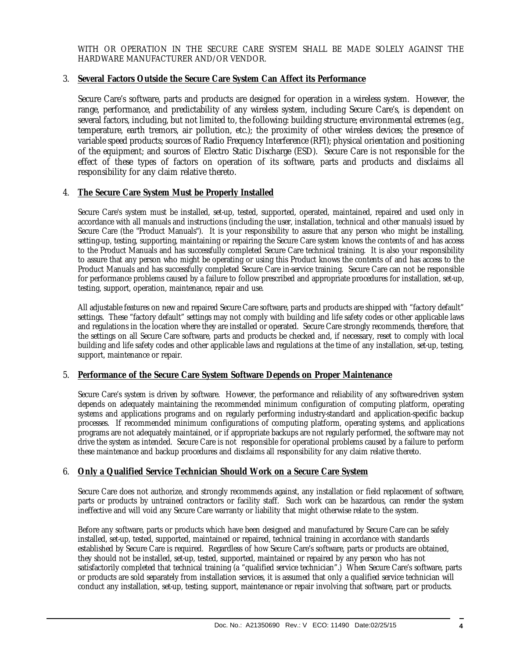WITH OR OPERATION IN THE SECURE CARE SYSTEM SHALL BE MADE SOLELY AGAINST THE HARDWARE MANUFACTURER AND/OR VENDOR.

#### 3. **Several Factors Outside the Secure Care System Can Affect its Performance**

Secure Care's software, parts and products are designed for operation in a wireless system. However, the range, performance, and predictability of any wireless system, including Secure Care's, is dependent on several factors, including, but not limited to, the following: building structure; environmental extremes (e.g., temperature, earth tremors, air pollution, etc.); the proximity of other wireless devices; the presence of variable speed products; sources of Radio Frequency Interference (RFI); physical orientation and positioning of the equipment; and sources of Electro Static Discharge (ESD). Secure Care is not responsible for the effect of these types of factors on operation of its software, parts and products and disclaims all responsibility for any claim relative thereto.

#### 4. **The Secure Care System Must be Properly Installed**

Secure Care's system must be installed, set-up, tested, supported, operated, maintained, repaired and used only in accordance with all manuals and instructions (including the user, installation, technical and other manuals) issued by Secure Care (the "Product Manuals"). It is your responsibility to assure that any person who might be installing, setting-up, testing, supporting, maintaining or repairing the Secure Care system knows the contents of and has access to the Product Manuals and has successfully completed Secure Care technical training. It is also your responsibility to assure that any person who might be operating or using this Product knows the contents of and has access to the Product Manuals and has successfully completed Secure Care in-service training. Secure Care can not be responsible for performance problems caused by a failure to follow prescribed and appropriate procedures for installation, set-up, testing, support, operation, maintenance, repair and use.

All adjustable features on new and repaired Secure Care software, parts and products are shipped with "factory default" settings. These "factory default" settings may not comply with building and life safety codes or other applicable laws and regulations in the location where they are installed or operated. Secure Care strongly recommends, therefore, that the settings on all Secure Care software, parts and products be checked and, if necessary, reset to comply with local building and life safety codes and other applicable laws and regulations at the time of any installation, set-up, testing, support, maintenance or repair.

#### 5. **Performance of the Secure Care System Software Depends on Proper Maintenance**

Secure Care's system is driven by software. However, the performance and reliability of any software-driven system depends on adequately maintaining the recommended minimum configuration of computing platform, operating systems and applications programs and on regularly performing industry-standard and application-specific backup processes. If recommended minimum configurations of computing platform, operating systems, and applications programs are not adequately maintained, or if appropriate backups are not regularly performed, the software may not drive the system as intended. Secure Care is not responsible for operational problems caused by a failure to perform these maintenance and backup procedures and disclaims all responsibility for any claim relative thereto.

#### 6. **Only a Qualified Service Technician Should Work on a Secure Care System**

Secure Care does not authorize, and strongly recommends against, any installation or field replacement of software, parts or products by untrained contractors or facility staff. Such work can be hazardous, can render the system ineffective and will void any Secure Care warranty or liability that might otherwise relate to the system.

Before any software, parts or products which have been designed and manufactured by Secure Care can be safely installed, set-up, tested, supported, maintained or repaired, technical training in accordance with standards established by Secure Care is required. Regardless of how Secure Care's software, parts or products are obtained, they should not be installed, set-up, tested, supported, maintained or repaired by any person who has not satisfactorily completed that technical training (a "qualified service technician".) When Secure Care's software, parts or products are sold separately from installation services, it is assumed that only a qualified service technician will conduct any installation, set-up, testing, support, maintenance or repair involving that software, part or products.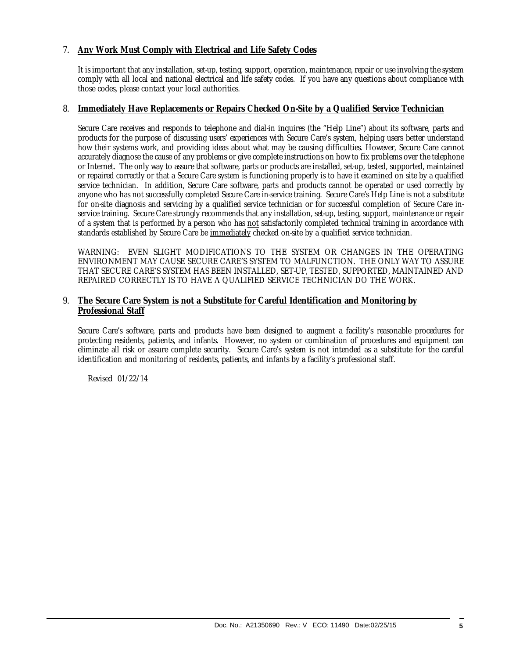## 7. **Any Work Must Comply with Electrical and Life Safety Codes**

It is important that any installation, set-up, testing, support, operation, maintenance, repair or use involving the system comply with all local and national electrical and life safety codes. If you have any questions about compliance with those codes, please contact your local authorities.

#### 8. **Immediately Have Replacements or Repairs Checked On-Site by a Qualified Service Technician**

Secure Care receives and responds to telephone and dial-in inquires (the "Help Line") about its software, parts and products for the purpose of discussing users' experiences with Secure Care's system, helping users better understand how their systems work, and providing ideas about what may be causing difficulties. However, Secure Care cannot accurately diagnose the cause of any problems or give complete instructions on how to fix problems over the telephone or Internet. The only way to assure that software, parts or products are installed, set-up, tested, supported, maintained or repaired correctly or that a Secure Care system is functioning properly is to have it examined on site by a qualified service technician. In addition, Secure Care software, parts and products cannot be operated or used correctly by anyone who has not successfully completed Secure Care in-service training. Secure Care's Help Line is not a substitute for on-site diagnosis and servicing by a qualified service technician or for successful completion of Secure Care inservice training. Secure Care strongly recommends that any installation, set-up, testing, support, maintenance or repair of a system that is performed by a person who has not satisfactorily completed technical training in accordance with standards established by Secure Care be immediately checked on-site by a qualified service technician.

WARNING: EVEN SLIGHT MODIFICATIONS TO THE SYSTEM OR CHANGES IN THE OPERATING ENVIRONMENT MAY CAUSE SECURE CARE'S SYSTEM TO MALFUNCTION. THE ONLY WAY TO ASSURE THAT SECURE CARE'S SYSTEM HAS BEEN INSTALLED, SET-UP, TESTED, SUPPORTED, MAINTAINED AND REPAIRED CORRECTLY IS TO HAVE A QUALIFIED SERVICE TECHNICIAN DO THE WORK.

#### 9. **The Secure Care System is not a Substitute for Careful Identification and Monitoring by Professional Staff**

Secure Care's software, parts and products have been designed to augment a facility's reasonable procedures for protecting residents, patients, and infants. However, no system or combination of procedures and equipment can eliminate all risk or assure complete security. Secure Care's system is not intended as a substitute for the careful identification and monitoring of residents, patients, and infants by a facility's professional staff.

Revised 01/22/14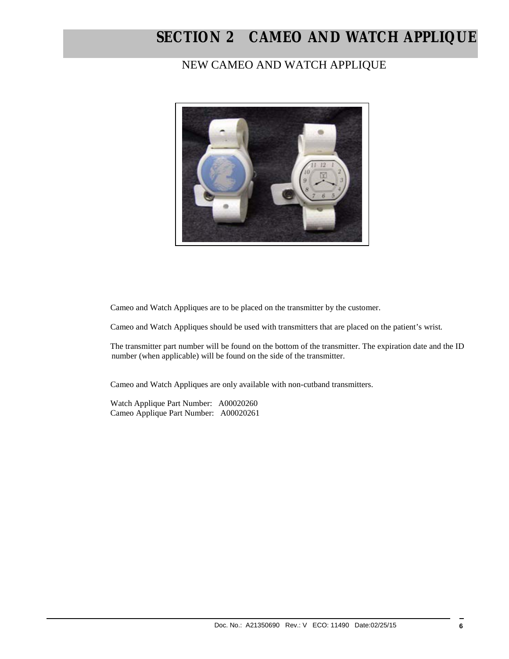## **SECTION 2 CAMEO AND WATCH APPLIQUE**

## NEW CAMEO AND WATCH APPLIQUE



Cameo and Watch Appliques are to be placed on the transmitter by the customer.

Cameo and Watch Appliques should be used with transmitters that are placed on the patient's wrist.

 The transmitter part number will be found on the bottom of the transmitter. The expiration date and the ID number (when applicable) will be found on the side of the transmitter.

Cameo and Watch Appliques are only available with non-cutband transmitters.

 Watch Applique Part Number: A00020260 Cameo Applique Part Number: A00020261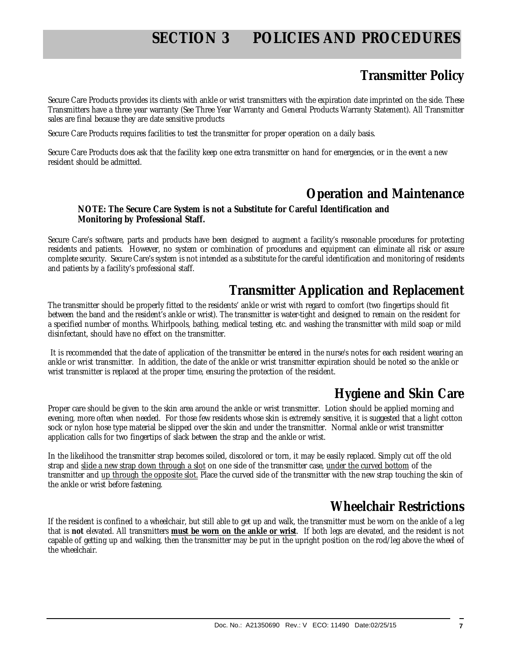## **SECTION 3 POLICIES AND PROCEDURES**

## **Transmitter Policy**

Secure Care Products provides its clients with ankle or wrist transmitters with the expiration date imprinted on the side. These Transmitters have a three year warranty (See Three Year Warranty and General Products Warranty Statement). All Transmitter sales are final because they are date sensitive products

Secure Care Products requires facilities to test the transmitter for proper operation on a daily basis.

Secure Care Products does ask that the facility keep one extra transmitter on hand for emergencies, or in the event a new resident should be admitted.

## **Operation and Maintenance**

#### **NOTE: The Secure Care System is not a Substitute for Careful Identification and Monitoring by Professional Staff.**

Secure Care's software, parts and products have been designed to augment a facility's reasonable procedures for protecting residents and patients. However, no system or combination of procedures and equipment can eliminate all risk or assure complete security. Secure Care's system is not intended as a substitute for the careful identification and monitoring of residents and patients by a facility's professional staff.

## **Transmitter Application and Replacement**

The transmitter should be properly fitted to the residents' ankle or wrist with regard to comfort (two fingertips should fit between the band and the resident's ankle or wrist). The transmitter is water-tight and designed to remain on the resident for a specified number of months. Whirlpools, bathing, medical testing, etc. and washing the transmitter with mild soap or mild disinfectant, should have no effect on the transmitter.

 It is recommended that the date of application of the transmitter be entered in the nurse's notes for each resident wearing an ankle or wrist transmitter. In addition, the date of the ankle or wrist transmitter expiration should be noted so the ankle or wrist transmitter is replaced at the proper time, ensuring the protection of the resident.

## **Hygiene and Skin Care**

Proper care should be given to the skin area around the ankle or wrist transmitter. Lotion should be applied morning and evening, more often when needed. For those few residents whose skin is extremely sensitive, it is suggested that a light cotton sock or nylon hose type material be slipped over the skin and under the transmitter. Normal ankle or wrist transmitter application calls for two fingertips of slack between the strap and the ankle or wrist.

In the likelihood the transmitter strap becomes soiled, discolored or torn, it may be easily replaced. Simply cut off the old strap and slide a new strap down through a slot on one side of the transmitter case, under the curved bottom of the transmitter and up through the opposite slot. Place the curved side of the transmitter with the new strap touching the skin of the ankle or wrist before fastening.

## **Wheelchair Restrictions**

If the resident is confined to a wheelchair, but still able to get up and walk, the transmitter must be worn on the ankle of a leg that is **not** elevated. All transmitters **must be worn on the ankle or wrist**. If both legs are elevated, and the resident is not capable of getting up and walking, then the transmitter may be put in the upright position on the rod/leg above the wheel of the wheelchair.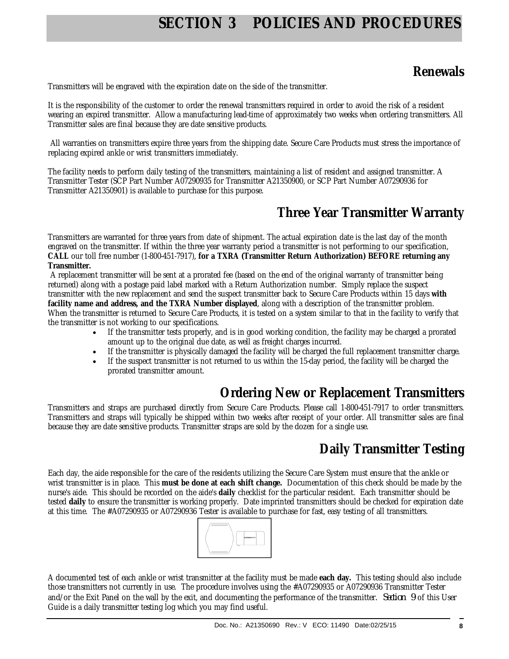## **SECTION 3 POLICIES AND PROCEDURES**

## **Renewals**

Transmitters will be engraved with the expiration date on the side of the transmitter.

It is the responsibility of the customer to order the renewal transmitters required in order to avoid the risk of a resident wearing an expired transmitter. Allow a manufacturing lead-time of approximately two weeks when ordering transmitters. All Transmitter sales are final because they are date sensitive products.

 All warranties on transmitters expire three years from the shipping date. Secure Care Products must stress the importance of replacing expired ankle or wrist transmitters immediately.

The facility needs to perform daily testing of the transmitters, maintaining a list of resident and assigned transmitter. A Transmitter Tester (SCP Part Number A07290935 for Transmitter A21350900, or SCP Part Number A07290936 for Transmitter A21350901) is available to purchase for this purpose.

## **Three Year Transmitter Warranty**

Transmitters are warranted for three years from date of shipment. The actual expiration date is the last day of the month engraved on the transmitter. If within the three year warranty period a transmitter is not performing to our specification, **CALL** our toll free number (1-800-451-7917), **for a TXRA (Transmitter Return Authorization) BEFORE returning any Transmitter.** 

 A replacement transmitter will be sent at a prorated fee (based on the end of the original warranty of transmitter being returned) along with a postage paid label marked with a Return Authorization number. Simply replace the suspect transmitter with the new replacement and send the suspect transmitter back to Secure Care Products within 15 days **with facility name and address, and the TXRA Number displayed**, along with a description of the transmitter problem. When the transmitter is returned to Secure Care Products, it is tested on a system similar to that in the facility to verify that the transmitter is not working to our specifications.

- If the transmitter tests properly, and is in good working condition, the facility may be charged a prorated amount up to the original due date, as well as freight charges incurred.
- If the transmitter is physically damaged the facility will be charged the full replacement transmitter charge.
- If the suspect transmitter is not returned to us within the 15-day period, the facility will be charged the prorated transmitter amount.

## **Ordering New or Replacement Transmitters**

Transmitters and straps are purchased directly from Secure Care Products. Please call 1-800-451-7917 to order transmitters. Transmitters and straps will typically be shipped within two weeks after receipt of your order. All transmitter sales are final because they are date sensitive products. Transmitter straps are sold by the dozen for a single use.

## **Daily Transmitter Testing**

Each day, the aide responsible for the care of the residents utilizing the Secure Care System must ensure that the ankle or wrist transmitter is in place. This **must be done at each shift change.** Documentation of this check should be made by the nurse's aide. This should be recorded on the aide's **daily** checklist for the particular resident. Each transmitter should be tested **daily** to ensure the transmitter is working properly. Date imprinted transmitters should be checked for expiration date at this time. The #A07290935 or A07290936 Tester is available to purchase for fast, easy testing of all transmitters.



A documented test of each ankle or wrist transmitter at the facility must be made **each day.** This testing should also include those transmitters not currently in use. The procedure involves using the #A07290935 or A07290936 Transmitter Tester and/or the Exit Panel on the wall by the exit, and documenting the performance of the transmitter. *Section 9* of this User Guide is a daily transmitter testing log which you may find useful.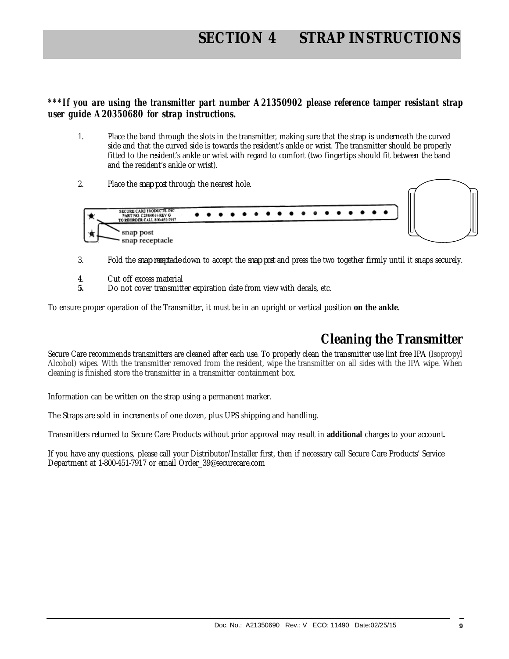## **SECTION 4 STRAP INSTRUCTIONS**

## *\*\*\*If you are using the transmitter part number A21350902 please reference tamper resistant strap user guide A20350680 for strap instructions.*

- 1. Place the band through the slots in the transmitter, making sure that the strap is underneath the curved side and that the curved side is towards the resident's ankle or wrist. The transmitter should be properly fitted to the resident's ankle or wrist with regard to comfort (two fingertips should fit between the band and the resident's ankle or wrist).
- 2. Place the *snap post* through the nearest hole.



- 3. Fold the *snap receptacle* down to accept the *snap post* and press the two together firmly until it snaps securely.
- 4. Cut off excess material
- **5.** Do not cover transmitter expiration date from view with decals, etc.

To ensure proper operation of the Transmitter, it must be in an upright or vertical position **on the ankle**.

## **Cleaning the Transmitter**

Secure Care recommends transmitters are cleaned after each use. To properly clean the transmitter use lint free IPA (Isopropyl Alcohol) wipes. With the transmitter removed from the resident, wipe the transmitter on all sides with the IPA wipe. When cleaning is finished store the transmitter in a transmitter containment box.

Information can be written on the strap using a permanent marker.

The Straps are sold in increments of one dozen, plus UPS shipping and handling.

Transmitters returned to Secure Care Products without prior approval may result in **additional** charges to your account.

If you have any questions, please call your Distributor/Installer first, then if necessary call Secure Care Products' Service Department at 1-800-451-7917 or email Order\_39@securecare.com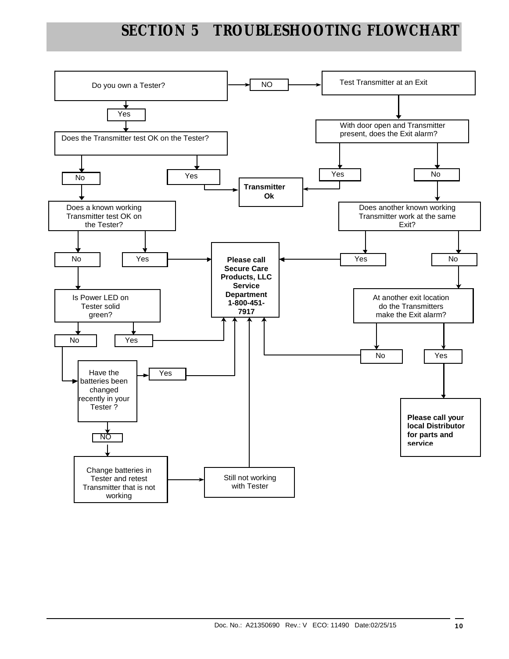## **SECTION 5 TROUBLESHOOTING FLOWCHART**

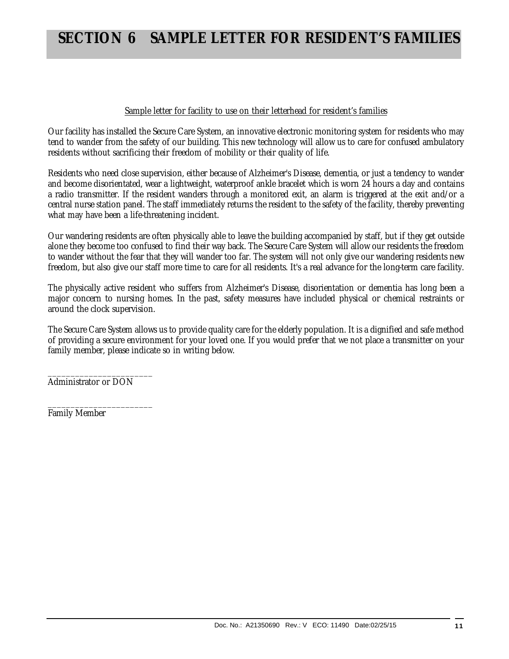## **SECTION 6 SAMPLE LETTER FOR RESIDENT'S FAMILIES**

#### Sample letter for facility to use on their letterhead for resident's families

Our facility has installed the Secure Care System, an innovative electronic monitoring system for residents who may tend to wander from the safety of our building. This new technology will allow us to care for confused ambulatory residents without sacrificing their freedom of mobility or their quality of life.

Residents who need close supervision, either because of Alzheimer's Disease, dementia, or just a tendency to wander and become disorientated, wear a lightweight, waterproof ankle bracelet which is worn 24 hours a day and contains a radio transmitter. If the resident wanders through a monitored exit, an alarm is triggered at the exit and/or a central nurse station panel. The staff immediately returns the resident to the safety of the facility, thereby preventing what may have been a life-threatening incident.

Our wandering residents are often physically able to leave the building accompanied by staff, but if they get outside alone they become too confused to find their way back. The Secure Care System will allow our residents the freedom to wander without the fear that they will wander too far. The system will not only give our wandering residents new freedom, but also give our staff more time to care for all residents. It's a real advance for the long-term care facility.

The physically active resident who suffers from Alzheimer's Disease, disorientation or dementia has long been a major concern to nursing homes. In the past, safety measures have included physical or chemical restraints or around the clock supervision.

The Secure Care System allows us to provide quality care for the elderly population. It is a dignified and safe method of providing a secure environment for your loved one. If you would prefer that we not place a transmitter on your family member, please indicate so in writing below.

\_\_\_\_\_\_\_\_\_\_\_\_\_\_\_\_\_\_\_\_\_\_\_ Administrator or DON

\_\_\_\_\_\_\_\_\_\_\_\_\_\_\_\_\_\_\_\_\_\_\_ Family Member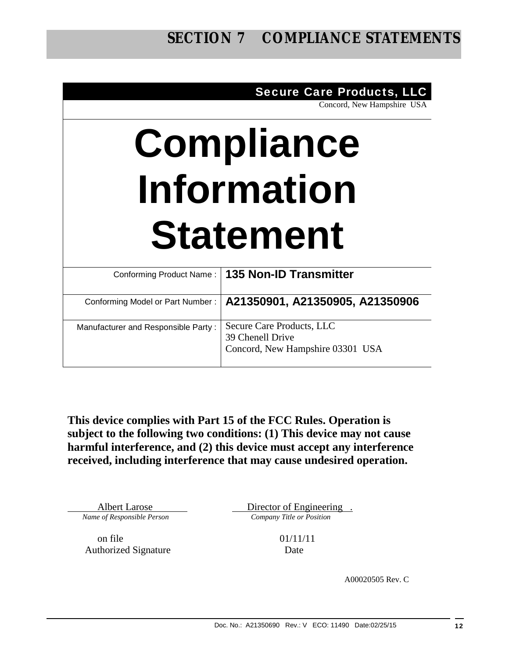## Secure Care Products, LLC

Concord, New Hampshire USA

## **Compliance Information Statement**

|                                     | Conforming Product Name:   135 Non-ID Transmitter                                 |
|-------------------------------------|-----------------------------------------------------------------------------------|
| Conforming Model or Part Number:    | A21350901, A21350905, A21350906                                                   |
| Manufacturer and Responsible Party: | Secure Care Products, LLC<br>39 Chenell Drive<br>Concord, New Hampshire 03301 USA |

**This device complies with Part 15 of the FCC Rules. Operation is subject to the following two conditions: (1) This device may not cause harmful interference, and (2) this device must accept any interference received, including interference that may cause undesired operation.** 

*Name of Responsible Person Company Title or Position* 

Albert Larose Director of Engineering .

on file 01/11/11 Authorized Signature Date

A00020505 Rev. C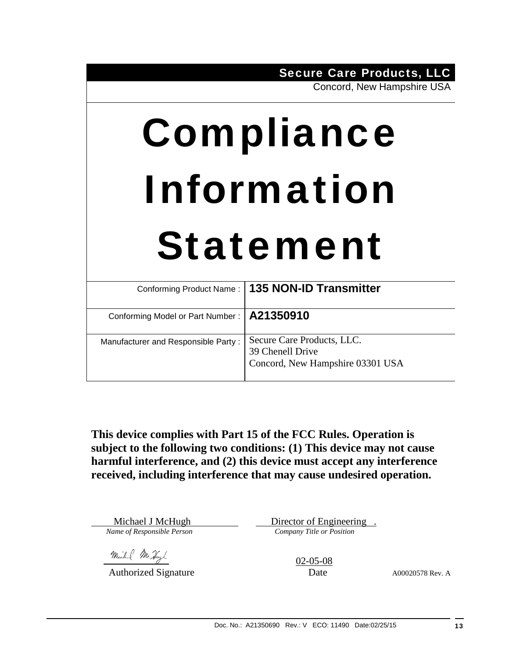Concord, New Hampshire USA

# Compliance Information Statement

|                                              | Conforming Product Name:   135 NON-ID Transmitter                                  |
|----------------------------------------------|------------------------------------------------------------------------------------|
| Conforming Model or Part Number:   A21350910 |                                                                                    |
| Manufacturer and Responsible Party:          | Secure Care Products, LLC.<br>39 Chenell Drive<br>Concord, New Hampshire 03301 USA |

**This device complies with Part 15 of the FCC Rules. Operation is subject to the following two conditions: (1) This device may not cause harmful interference, and (2) this device must accept any interference received, including interference that may cause undesired operation.** 

Michael J McHugh Director of Engineering . *Name of Responsible Person Company Title or Position* 

Michael Mc Hugh (2005-08)

Authorized Signature Date Date A00020578 Rev. A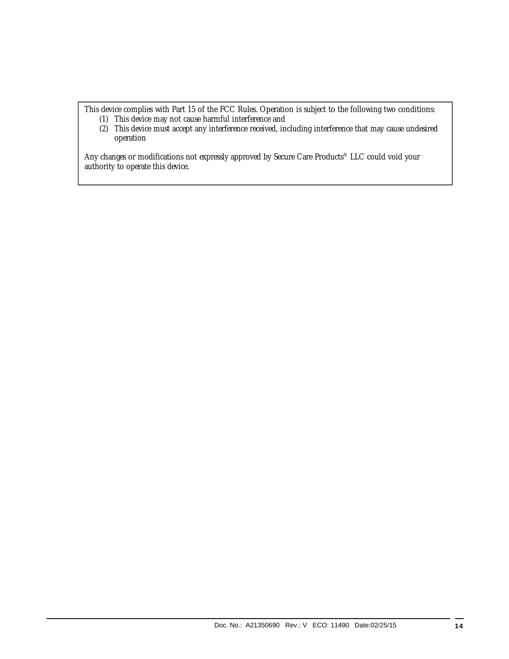This device complies with Part 15 of the FCC Rules. Operation is subject to the following two conditions:

- (1) This device may not cause harmful interference and
- (2) This device must accept any interference received, including interference that may cause undesired operation

Any changes or modifications not expressly approved by Secure Care Products® LLC could void your authority to operate this device.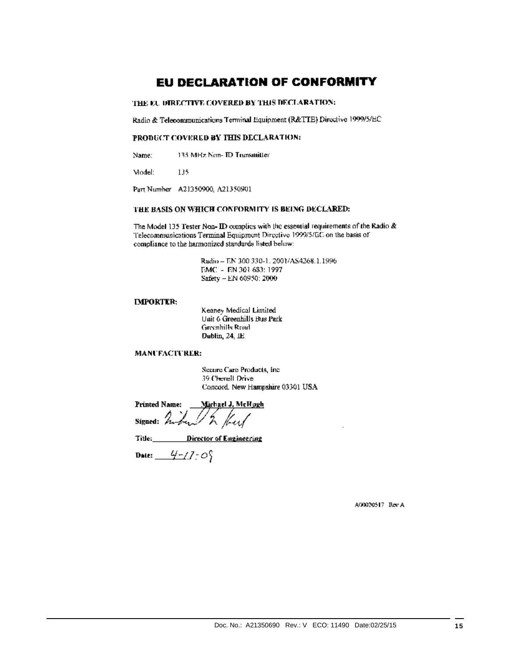## **EU DECLARATION OF CONFORMITY**

#### THE EU DIRECTIVE COVERED BY THIS DECLARATION:

Radio & Telecommunications Terminal Equipment (R&TTE) Directive 1999/5/EC

#### PRODUCT COVERED BY THIS DECLARATION:

135 MHz Non- ID Transmitter Name:

Model: 135

Part Number A21350900, A21350901

#### THE BASIS ON WHICH CONFORMITY IS BEING DECLARED:

The Model 135 Tester Non- ID complies with the essential requirements of the Radio & Telecommunications Terminal Equipment Directive 1999/5/EC on the basis of compliance to the harmonized standards listed below:

> Radio - EN 300 330-1, 2001/AS4268.1.1996 EMC - EN 301 683: 1997 Safety - EN 60950: 2000

#### **IMPORTER:**

Kenney Medical Limited Unit 6 Greenhills Bus Park Greenhilly Road Dublin, 24, IE

#### MANUFACTURER:

Secure Care Products, Inc. 39 Chenell Drive Concord. New Hampshire 03301 USA

**Printed Name:** Michael J. McHogh Signed:  $\mathbb{Z}_{n-2}$ Ku

Title: Director of Engineering

Date:  $4-770$ 

A00020517 Rev A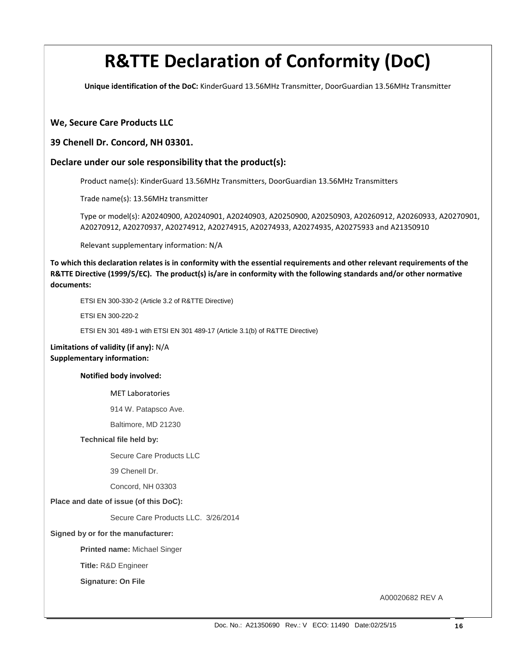## **R&TTE Declaration of Conformity (DoC)**

**Unique identification of the DoC:** KinderGuard 13.56MHz Transmitter, DoorGuardian 13.56MHz Transmitter

#### **We, Secure Care Products LLC**

#### **39 Chenell Dr. Concord, NH 03301.**

#### **Declare under our sole responsibility that the product(s):**

Product name(s): KinderGuard 13.56MHz Transmitters, DoorGuardian 13.56MHz Transmitters

Trade name(s): 13.56MHz transmitter

Type or model(s): A20240900, A20240901, A20240903, A20250900, A20250903, A20260912, A20260933, A20270901, A20270912, A20270937, A20274912, A20274915, A20274933, A20274935, A20275933 and A21350910

Relevant supplementary information: N/A

To which this declaration relates is in conformity with the essential requirements and other relevant requirements of the R&TTE Directive (1999/5/EC). The product(s) is/are in conformity with the following standards and/or other normative **documents:**

ETSI EN 300-330-2 (Article 3.2 of R&TTE Directive)

ETSI EN 300-220-2

ETSI EN 301 489-1 with ETSI EN 301 489-17 (Article 3.1(b) of R&TTE Directive)

**Limitations of validity (if any):** N/A **Supplementary information:**

**Notified body involved:** 

MET Laboratories

914 W. Patapsco Ave.

Baltimore, MD 21230

#### **Technical file held by:**

Secure Care Products LLC

39 Chenell Dr.

Concord, NH 03303

#### **Place and date of issue (of this DoC):**

Secure Care Products LLC. 3/26/2014

#### **Signed by or for the manufacturer:**

**Printed name:** Michael Singer

 **Title:** R&D Engineer

**Signature: On File** 

A00020682 REV A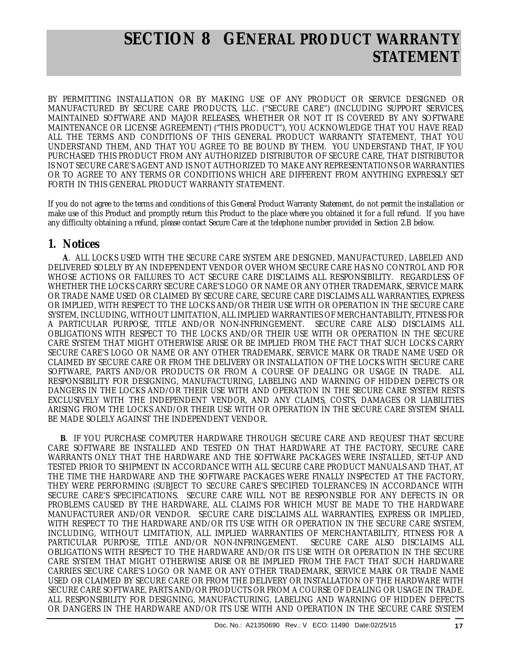## **SECTION 8 GENERAL PRODUCT WARRANTY STATEMENT**

BY PERMITTING INSTALLATION OR BY MAKING USE OF ANY PRODUCT OR SERVICE DESIGNED OR MANUFACTURED BY SECURE CARE PRODUCTS, LLC. ("SECURE CARE") (INCLUDING SUPPORT SERVICES, MAINTAINED SOFTWARE AND MAJOR RELEASES, WHETHER OR NOT IT IS COVERED BY ANY SOFTWARE MAINTENANCE OR LICENSE AGREEMENT) ("THIS PRODUCT"), YOU ACKNOWLEDGE THAT YOU HAVE READ ALL THE TERMS AND CONDITIONS OF THIS GENERAL PRODUCT WARRANTY STATEMENT, THAT YOU UNDERSTAND THEM, AND THAT YOU AGREE TO BE BOUND BY THEM. YOU UNDERSTAND THAT, IF YOU PURCHASED THIS PRODUCT FROM ANY AUTHORIZED DISTRIBUTOR OF SECURE CARE, THAT DISTRIBUTOR IS NOT SECURE CARE'S AGENT AND IS NOT AUTHORIZED TO MAKE ANY REPRESENTATIONS OR WARRANTIES OR TO AGREE TO ANY TERMS OR CONDITIONS WHICH ARE DIFFERENT FROM ANYTHING EXPRESSLY SET FORTH IN THIS GENERAL PRODUCT WARRANTY STATEMENT.

If you do not agree to the terms and conditions of this General Product Warranty Statement, do not permit the installation or make use of this Product and promptly return this Product to the place where you obtained it for a full refund. If you have any difficulty obtaining a refund, please contact Secure Care at the telephone number provided in Section 2.B below.

## **1. Notices**

 **A**. ALL LOCKS USED WITH THE SECURE CARE SYSTEM ARE DESIGNED, MANUFACTURED, LABELED AND DELIVERED SOLELY BY AN INDEPENDENT VENDOR OVER WHOM SECURE CARE HAS NO CONTROL AND FOR WHOSE ACTIONS OR FAILURES TO ACT SECURE CARE DISCLAIMS ALL RESPONSIBILITY. REGARDLESS OF WHETHER THE LOCKS CARRY SECURE CARE'S LOGO OR NAME OR ANY OTHER TRADEMARK, SERVICE MARK OR TRADE NAME USED OR CLAIMED BY SECURE CARE, SECURE CARE DISCLAIMS ALL WARRANTIES, EXPRESS OR IMPLIED, WITH RESPECT TO THE LOCKS AND/OR THEIR USE WITH OR OPERATION IN THE SECURE CARE SYSTEM, INCLUDING, WITHOUT LIMITATION, ALL IMPLIED WARRANTIES OF MERCHANTABILITY, FITNESS FOR A PARTICULAR PURPOSE, TITLE AND/OR NON-INFRINGEMENT. SECURE CARE ALSO DISCLAIMS ALL OBLIGATIONS WITH RESPECT TO THE LOCKS AND/OR THEIR USE WITH OR OPERATION IN THE SECURE CARE SYSTEM THAT MIGHT OTHERWISE ARISE OR BE IMPLIED FROM THE FACT THAT SUCH LOCKS CARRY SECURE CARE'S LOGO OR NAME OR ANY OTHER TRADEMARK, SERVICE MARK OR TRADE NAME USED OR CLAIMED BY SECURE CARE OR FROM THE DELIVERY OR INSTALLATION OF THE LOCKS WITH SECURE CARE SOFTWARE, PARTS AND/OR PRODUCTS OR FROM A COURSE OF DEALING OR USAGE IN TRADE. ALL RESPONSIBILITY FOR DESIGNING, MANUFACTURING, LABELING AND WARNING OF HIDDEN DEFECTS OR DANGERS IN THE LOCKS AND/OR THEIR USE WITH AND OPERATION IN THE SECURE CARE SYSTEM RESTS EXCLUSIVELY WITH THE INDEPENDENT VENDOR, AND ANY CLAIMS, COSTS, DAMAGES OR LIABILITIES ARISING FROM THE LOCKS AND/OR THEIR USE WITH OR OPERATION IN THE SECURE CARE SYSTEM SHALL BE MADE SOLELY AGAINST THE INDEPENDENT VENDOR.

 **B**. IF YOU PURCHASE COMPUTER HARDWARE THROUGH SECURE CARE AND REQUEST THAT SECURE CARE SOFTWARE BE INSTALLED AND TESTED ON THAT HARDWARE AT THE FACTORY, SECURE CARE WARRANTS ONLY THAT THE HARDWARE AND THE SOFTWARE PACKAGES WERE INSTALLED, SET-UP AND TESTED PRIOR TO SHIPMENT IN ACCORDANCE WITH ALL SECURE CARE PRODUCT MANUALS AND THAT, AT THE TIME THE HARDWARE AND THE SOFTWARE PACKAGES WERE FINALLY INSPECTED AT THE FACTORY, THEY WERE PERFORMING (SUBJECT TO SECURE CARE'S SPECIFIED TOLERANCES) IN ACCORDANCE WITH SECURE CARE'S SPECIFICATIONS. SECURE CARE WILL NOT BE RESPONSIBLE FOR ANY DEFECTS IN OR PROBLEMS CAUSED BY THE HARDWARE, ALL CLAIMS FOR WHICH MUST BE MADE TO THE HARDWARE MANUFACTURER AND/OR VENDOR. SECURE CARE DISCLAIMS ALL WARRANTIES, EXPRESS OR IMPLIED, WITH RESPECT TO THE HARDWARE AND/OR ITS USE WITH OR OPERATION IN THE SECURE CARE SYSTEM, INCLUDING, WITHOUT LIMITATION, ALL IMPLIED WARRANTIES OF MERCHANTABILITY, FITNESS FOR A PARTICULAR PURPOSE, TITLE AND/OR NON-INFRINGEMENT. SECURE CARE ALSO DISCLAIMS ALL OBLIGATIONS WITH RESPECT TO THE HARDWARE AND/OR ITS USE WITH OR OPERATION IN THE SECURE CARE SYSTEM THAT MIGHT OTHERWISE ARISE OR BE IMPLIED FROM THE FACT THAT SUCH HARDWARE CARRIES SECURE CARE'S LOGO OR NAME OR ANY OTHER TRADEMARK, SERVICE MARK OR TRADE NAME USED OR CLAIMED BY SECURE CARE OR FROM THE DELIVERY OR INSTALLATION OF THE HARDWARE WITH SECURE CARE SOFTWARE, PARTS AND/OR PRODUCTS OR FROM A COURSE OF DEALING OR USAGE IN TRADE. ALL RESPONSIBILITY FOR DESIGNING, MANUFACTURING, LABELING AND WARNING OF HIDDEN DEFECTS OR DANGERS IN THE HARDWARE AND/OR ITS USE WITH AND OPERATION IN THE SECURE CARE SYSTEM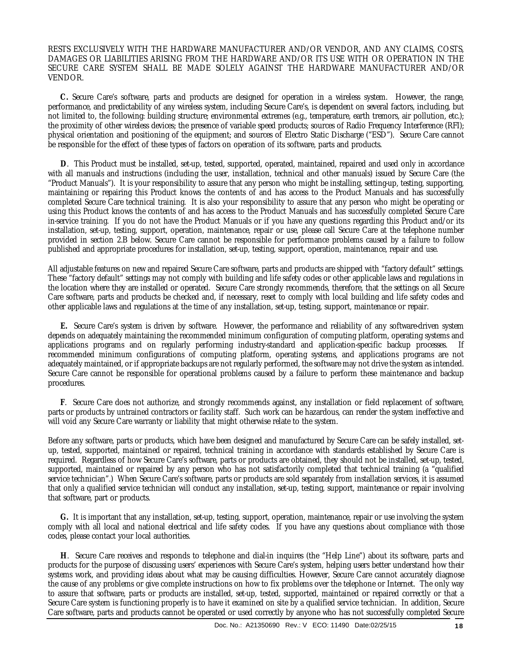RESTS EXCLUSIVELY WITH THE HARDWARE MANUFACTURER AND/OR VENDOR, AND ANY CLAIMS, COSTS, DAMAGES OR LIABILITIES ARISING FROM THE HARDWARE AND/OR ITS USE WITH OR OPERATION IN THE SECURE CARE SYSTEM SHALL BE MADE SOLELY AGAINST THE HARDWARE MANUFACTURER AND/OR VENDOR.

 **C.** Secure Care's software, parts and products are designed for operation in a wireless system. However, the range, performance, and predictability of any wireless system, including Secure Care's, is dependent on several factors, including, but not limited to, the following: building structure; environmental extremes (e.g., temperature, earth tremors, air pollution, etc.); the proximity of other wireless devices; the presence of variable speed products; sources of Radio Frequency Interference (RFI); physical orientation and positioning of the equipment; and sources of Electro Static Discharge ("ESD"). Secure Care cannot be responsible for the effect of these types of factors on operation of its software, parts and products.

 **D**. This Product must be installed, set-up, tested, supported, operated, maintained, repaired and used only in accordance with all manuals and instructions (including the user, installation, technical and other manuals) issued by Secure Care (the "Product Manuals"). It is your responsibility to assure that any person who might be installing, setting-up, testing, supporting, maintaining or repairing this Product knows the contents of and has access to the Product Manuals and has successfully completed Secure Care technical training. It is also your responsibility to assure that any person who might be operating or using this Product knows the contents of and has access to the Product Manuals and has successfully completed Secure Care in-service training. If you do not have the Product Manuals or if you have any questions regarding this Product and/or its installation, set-up, testing, support, operation, maintenance, repair or use, please call Secure Care at the telephone number provided in section 2.B below. Secure Care cannot be responsible for performance problems caused by a failure to follow published and appropriate procedures for installation, set-up, testing, support, operation, maintenance, repair and use.

All adjustable features on new and repaired Secure Care software, parts and products are shipped with "factory default" settings. These "factory default" settings may not comply with building and life safety codes or other applicable laws and regulations in the location where they are installed or operated. Secure Care strongly recommends, therefore, that the settings on all Secure Care software, parts and products be checked and, if necessary, reset to comply with local building and life safety codes and other applicable laws and regulations at the time of any installation, set-up, testing, support, maintenance or repair.

 **E.** Secure Care's system is driven by software. However, the performance and reliability of any software-driven system depends on adequately maintaining the recommended minimum configuration of computing platform, operating systems and applications programs and on regularly performing industry-standard and application-specific backup processes. recommended minimum configurations of computing platform, operating systems, and applications programs are not adequately maintained, or if appropriate backups are not regularly performed, the software may not drive the system as intended. Secure Care cannot be responsible for operational problems caused by a failure to perform these maintenance and backup procedures.

 **F**. Secure Care does not authorize, and strongly recommends against, any installation or field replacement of software, parts or products by untrained contractors or facility staff. Such work can be hazardous, can render the system ineffective and will void any Secure Care warranty or liability that might otherwise relate to the system.

Before any software, parts or products, which have been designed and manufactured by Secure Care can be safely installed, setup, tested, supported, maintained or repaired, technical training in accordance with standards established by Secure Care is required. Regardless of how Secure Care's software, parts or products are obtained, they should not be installed, set-up, tested, supported, maintained or repaired by any person who has not satisfactorily completed that technical training (a "qualified service technician".) When Secure Care's software, parts or products are sold separately from installation services, it is assumed that only a qualified service technician will conduct any installation, set-up, testing, support, maintenance or repair involving that software, part or products.

 **G.** It is important that any installation, set-up, testing, support, operation, maintenance, repair or use involving the system comply with all local and national electrical and life safety codes. If you have any questions about compliance with those codes, please contact your local authorities.

 **H**. Secure Care receives and responds to telephone and dial-in inquires (the "Help Line") about its software, parts and products for the purpose of discussing users' experiences with Secure Care's system, helping users better understand how their systems work, and providing ideas about what may be causing difficulties. However, Secure Care cannot accurately diagnose the cause of any problems or give complete instructions on how to fix problems over the telephone or Internet. The only way to assure that software, parts or products are installed, set-up, tested, supported, maintained or repaired correctly or that a Secure Care system is functioning properly is to have it examined on site by a qualified service technician. In addition, Secure Care software, parts and products cannot be operated or used correctly by anyone who has not successfully completed Secure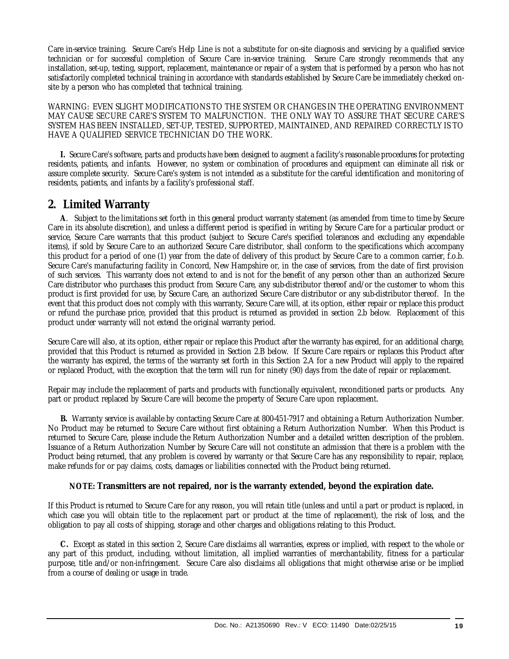Care in-service training. Secure Care's Help Line is not a substitute for on-site diagnosis and servicing by a qualified service technician or for successful completion of Secure Care in-service training. Secure Care strongly recommends that any installation, set-up, testing, support, replacement, maintenance or repair of a system that is performed by a person who has not satisfactorily completed technical training in accordance with standards established by Secure Care be immediately checked onsite by a person who has completed that technical training.

WARNING: EVEN SLIGHT MODIFICATIONS TO THE SYSTEM OR CHANGES IN THE OPERATING ENVIRONMENT MAY CAUSE SECURE CARE'S SYSTEM TO MALFUNCTION. THE ONLY WAY TO ASSURE THAT SECURE CARE'S SYSTEM HAS BEEN INSTALLED, SET-UP, TESTED, SUPPORTED, MAINTAINED, AND REPAIRED CORRECTLY IS TO HAVE A QUALIFIED SERVICE TECHNICIAN DO THE WORK.

 **I.** Secure Care's software, parts and products have been designed to augment a facility's reasonable procedures for protecting residents, patients, and infants. However, no system or combination of procedures and equipment can eliminate all risk or assure complete security. Secure Care's system is not intended as a substitute for the careful identification and monitoring of residents, patients, and infants by a facility's professional staff.

## **2. Limited Warranty**

 **A**. Subject to the limitations set forth in this general product warranty statement (as amended from time to time by Secure Care in its absolute discretion), and unless a different period is specified in writing by Secure Care for a particular product or service, Secure Care warrants that this product (subject to Secure Care's specified tolerances and excluding any expendable items), if sold by Secure Care to an authorized Secure Care distributor, shall conform to the specifications which accompany this product for a period of one (1) year from the date of delivery of this product by Secure Care to a common carrier, f.o.b. Secure Care's manufacturing facility in Concord, New Hampshire or, in the case of services, from the date of first provision of such services. This warranty does not extend to and is not for the benefit of any person other than an authorized Secure Care distributor who purchases this product from Secure Care, any sub-distributor thereof and/or the customer to whom this product is first provided for use, by Secure Care, an authorized Secure Care distributor or any sub-distributor thereof. In the event that this product does not comply with this warranty, Secure Care will, at its option, either repair or replace this product or refund the purchase price, provided that this product is returned as provided in section 2.b below. Replacement of this product under warranty will not extend the original warranty period.

Secure Care will also, at its option, either repair or replace this Product after the warranty has expired, for an additional charge, provided that this Product is returned as provided in Section 2.B below. If Secure Care repairs or replaces this Product after the warranty has expired, the terms of the warranty set forth in this Section 2.A for a new Product will apply to the repaired or replaced Product, with the exception that the term will run for ninety (90) days from the date of repair or replacement.

Repair may include the replacement of parts and products with functionally equivalent, reconditioned parts or products. Any part or product replaced by Secure Care will become the property of Secure Care upon replacement.

 **B.** Warranty service is available by contacting Secure Care at 800-451-7917 and obtaining a Return Authorization Number. No Product may be returned to Secure Care without first obtaining a Return Authorization Number. When this Product is returned to Secure Care, please include the Return Authorization Number and a detailed written description of the problem. Issuance of a Return Authorization Number by Secure Care will not constitute an admission that there is a problem with the Product being returned, that any problem is covered by warranty or that Secure Care has any responsibility to repair, replace, make refunds for or pay claims, costs, damages or liabilities connected with the Product being returned.

## **NOTE: Transmitters are not repaired, nor is the warranty extended, beyond the expiration date.**

If this Product is returned to Secure Care for any reason, you will retain title (unless and until a part or product is replaced, in which case you will obtain title to the replacement part or product at the time of replacement), the risk of loss, and the obligation to pay all costs of shipping, storage and other charges and obligations relating to this Product.

 **C.** Except as stated in this section 2, Secure Care disclaims all warranties, express or implied, with respect to the whole or any part of this product, including, without limitation, all implied warranties of merchantability, fitness for a particular purpose, title and/or non-infringement. Secure Care also disclaims all obligations that might otherwise arise or be implied from a course of dealing or usage in trade.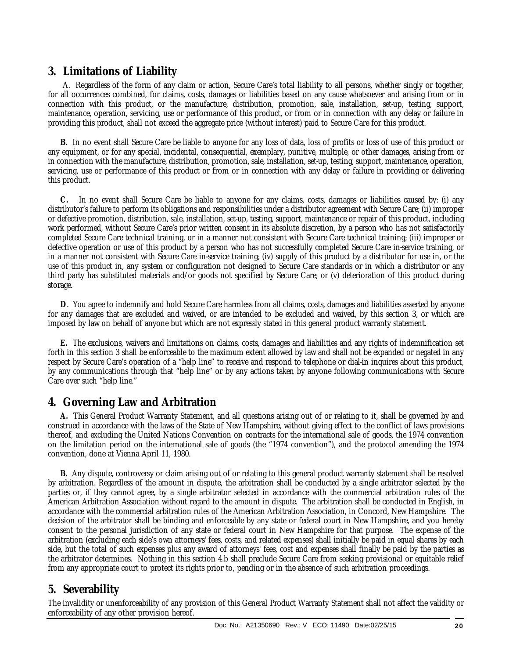## **3. Limitations of Liability**

 A. Regardless of the form of any claim or action, Secure Care's total liability to all persons, whether singly or together, for all occurrences combined, for claims, costs, damages or liabilities based on any cause whatsoever and arising from or in connection with this product, or the manufacture, distribution, promotion, sale, installation, set-up, testing, support, maintenance, operation, servicing, use or performance of this product, or from or in connection with any delay or failure in providing this product, shall not exceed the aggregate price (without interest) paid to Secure Care for this product.

 **B**. In no event shall Secure Care be liable to anyone for any loss of data, loss of profits or loss of use of this product or any equipment, or for any special, incidental, consequential, exemplary, punitive, multiple, or other damages, arising from or in connection with the manufacture, distribution, promotion, sale, installation, set-up, testing, support, maintenance, operation, servicing, use or performance of this product or from or in connection with any delay or failure in providing or delivering this product.

 **C.** In no event shall Secure Care be liable to anyone for any claims, costs, damages or liabilities caused by: (i) any distributor's failure to perform its obligations and responsibilities under a distributor agreement with Secure Care; (ii) improper or defective promotion, distribution, sale, installation, set-up, testing, support, maintenance or repair of this product, including work performed, without Secure Care's prior written consent in its absolute discretion, by a person who has not satisfactorily completed Secure Care technical training, or in a manner not consistent with Secure Care technical training; (iii) improper or defective operation or use of this product by a person who has not successfully completed Secure Care in-service training, or in a manner not consistent with Secure Care in-service training; (iv) supply of this product by a distributor for use in, or the use of this product in, any system or configuration not designed to Secure Care standards or in which a distributor or any third party has substituted materials and/or goods not specified by Secure Care; or (v) deterioration of this product during storage.

 **D**. You agree to indemnify and hold Secure Care harmless from all claims, costs, damages and liabilities asserted by anyone for any damages that are excluded and waived, or are intended to be excluded and waived, by this section 3, or which are imposed by law on behalf of anyone but which are not expressly stated in this general product warranty statement.

 **E.** The exclusions, waivers and limitations on claims, costs, damages and liabilities and any rights of indemnification set forth in this section 3 shall be enforceable to the maximum extent allowed by law and shall not be expanded or negated in any respect by Secure Care's operation of a "help line" to receive and respond to telephone or dial-in inquires about this product, by any communications through that "help line" or by any actions taken by anyone following communications with Secure Care over such "help line."

## **4. Governing Law and Arbitration**

 **A.** This General Product Warranty Statement, and all questions arising out of or relating to it, shall be governed by and construed in accordance with the laws of the State of New Hampshire, without giving effect to the conflict of laws provisions thereof, and excluding the United Nations Convention on contracts for the international sale of goods, the 1974 convention on the limitation period on the international sale of goods (the "1974 convention"), and the protocol amending the 1974 convention, done at Vienna April 11, 1980.

 **B.** Any dispute, controversy or claim arising out of or relating to this general product warranty statement shall be resolved by arbitration. Regardless of the amount in dispute, the arbitration shall be conducted by a single arbitrator selected by the parties or, if they cannot agree, by a single arbitrator selected in accordance with the commercial arbitration rules of the American Arbitration Association without regard to the amount in dispute. The arbitration shall be conducted in English, in accordance with the commercial arbitration rules of the American Arbitration Association, in Concord, New Hampshire. The decision of the arbitrator shall be binding and enforceable by any state or federal court in New Hampshire, and you hereby consent to the personal jurisdiction of any state or federal court in New Hampshire for that purpose. The expense of the arbitration (excluding each side's own attorneys' fees, costs, and related expenses) shall initially be paid in equal shares by each side, but the total of such expenses plus any award of attorneys' fees, cost and expenses shall finally be paid by the parties as the arbitrator determines. Nothing in this section 4.b shall preclude Secure Care from seeking provisional or equitable relief from any appropriate court to protect its rights prior to, pending or in the absence of such arbitration proceedings.

## **5. Severability**

The invalidity or unenforceability of any provision of this General Product Warranty Statement shall not affect the validity or enforceability of any other provision hereof.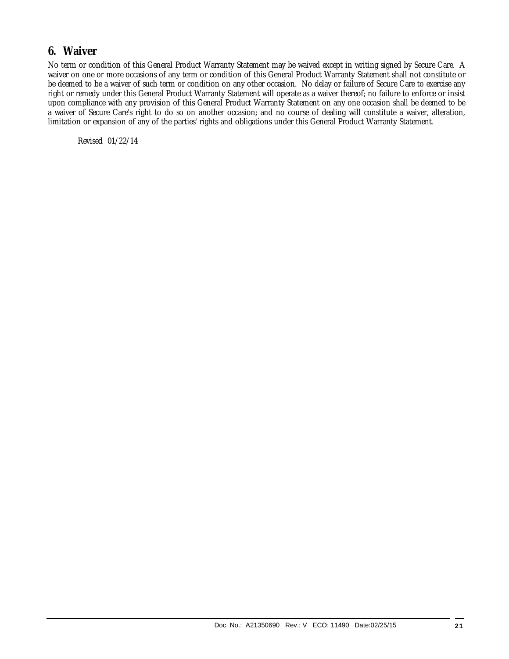## **6. Waiver**

No term or condition of this General Product Warranty Statement may be waived except in writing signed by Secure Care. A waiver on one or more occasions of any term or condition of this General Product Warranty Statement shall not constitute or be deemed to be a waiver of such term or condition on any other occasion. No delay or failure of Secure Care to exercise any right or remedy under this General Product Warranty Statement will operate as a waiver thereof; no failure to enforce or insist upon compliance with any provision of this General Product Warranty Statement on any one occasion shall be deemed to be a waiver of Secure Care's right to do so on another occasion; and no course of dealing will constitute a waiver, alteration, limitation or expansion of any of the parties' rights and obligations under this General Product Warranty Statement.

Revised 01/22/14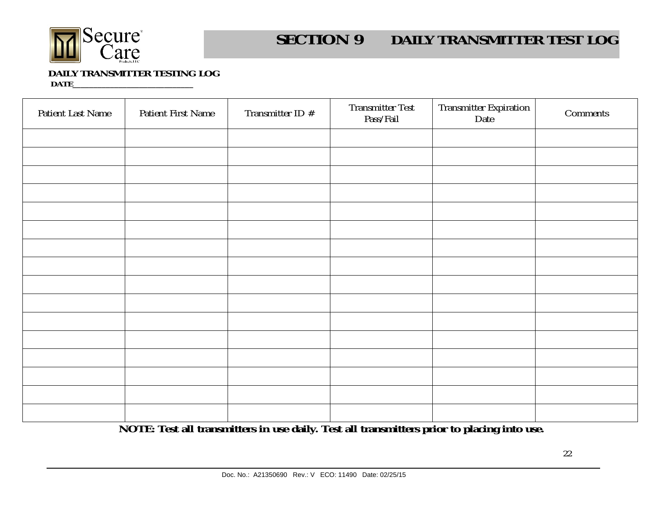

#### **SECTION 9DAILY TRANSMITTER TEST LOG**

## **DAILY TRANSMITTER TESTING LOG**

 **DATE\_\_\_\_\_\_\_\_\_\_\_\_\_\_\_\_\_\_\_\_\_\_\_\_\_\_\_\_\_** 

| Patient Last Name | Patient First Name | Transmitter ID # | Transmitter Test<br>Pass/Fail | Transmitter Expiration<br>Date | Comments |
|-------------------|--------------------|------------------|-------------------------------|--------------------------------|----------|
|                   |                    |                  |                               |                                |          |
|                   |                    |                  |                               |                                |          |
|                   |                    |                  |                               |                                |          |
|                   |                    |                  |                               |                                |          |
|                   |                    |                  |                               |                                |          |
|                   |                    |                  |                               |                                |          |
|                   |                    |                  |                               |                                |          |
|                   |                    |                  |                               |                                |          |
|                   |                    |                  |                               |                                |          |
|                   |                    |                  |                               |                                |          |
|                   |                    |                  |                               |                                |          |
|                   |                    |                  |                               |                                |          |
|                   |                    |                  |                               |                                |          |
|                   |                    |                  |                               |                                |          |
|                   |                    |                  |                               |                                |          |
|                   |                    |                  |                               |                                |          |

**NOTE: Test all transmitters in use daily. Test all transmitters prior to placing into use.**